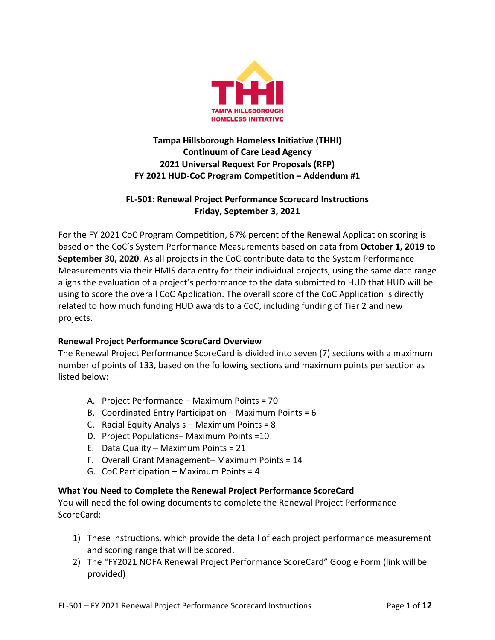

# **Tampa Hillsborough Homeless Initiative (THHI) Continuum of Care Lead Agency 2021 Universal Request For Proposals (RFP) FY 2021 HUD‐CoC Program Competition – Addendum #1**

# **FL‐501: Renewal Project Performance Scorecard Instructions Friday, September 3, 2021**

For the FY 2021 CoC Program Competition, 67% percent of the Renewal Application scoring is based on the CoC's System Performance Measurements based on data from **October 1, 2019 to September 30, 2020**. As all projects in the CoC contribute data to the System Performance Measurements via their HMIS data entry for their individual projects, using the same date range aligns the evaluation of a project's performance to the data submitted to HUD that HUD will be using to score the overall CoC Application. The overall score of the CoC Application is directly related to how much funding HUD awards to a CoC, including funding of Tier 2 and new projects.

# **Renewal Project Performance ScoreCard Overview**

The Renewal Project Performance ScoreCard is divided into seven (7) sections with a maximum number of points of 133, based on the following sections and maximum points per section as listed below:

- A. Project Performance Maximum Points = 70
- B. Coordinated Entry Participation Maximum Points = 6
- C. Racial Equity Analysis Maximum Points = 8
- D. Project Populations– Maximum Points =10
- E. Data Quality Maximum Points = 21
- F. Overall Grant Management– Maximum Points = 14
- G. CoC Participation Maximum Points = 4

## **What You Need to Complete the Renewal Project Performance ScoreCard**

You will need the following documents to complete the Renewal Project Performance ScoreCard:

- 1) These instructions, which provide the detail of each project performance measurement and scoring range that will be scored.
- 2) The "FY2021 NOFA Renewal Project Performance ScoreCard" Google Form (link willbe provided)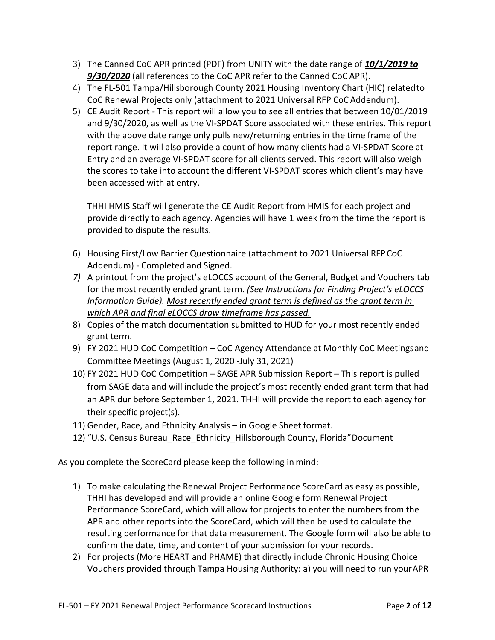- 3) The Canned CoC APR printed (PDF) from UNITY with the date range of *10/1/2019 to 9/30/2020* (all references to the CoC APR refer to the Canned CoC APR).
- 4) The FL‐501 Tampa/Hillsborough County 2021 Housing Inventory Chart (HIC) relatedto CoC Renewal Projects only (attachment to 2021 Universal RFP CoC Addendum).
- 5) CE Audit Report This report will allow you to see all entries that between 10/01/2019 and 9/30/2020, as well as the VI‐SPDAT Score associated with these entries. This report with the above date range only pulls new/returning entries in the time frame of the report range. It will also provide a count of how many clients had a VI‐SPDAT Score at Entry and an average VI‐SPDAT score for all clients served. This report will also weigh the scores to take into account the different VI‐SPDAT scores which client's may have been accessed with at entry.

THHI HMIS Staff will generate the CE Audit Report from HMIS for each project and provide directly to each agency. Agencies will have 1 week from the time the report is provided to dispute the results.

- 6) Housing First/Low Barrier Questionnaire (attachment to 2021 Universal RFPCoC Addendum) ‐ Completed and Signed.
- *7)* A printout from the project's eLOCCS account of the General, Budget and Vouchers tab for the most recently ended grant term. *(See Instructions for Finding Project's eLOCCS Information Guide). Most recently ended grant term is defined as the grant term in which APR and final eLOCCS draw timeframe has passed.*
- 8) Copies of the match documentation submitted to HUD for your most recently ended grant term.
- 9) FY 2021 HUD CoC Competition CoC Agency Attendance at Monthly CoC Meetingsand Committee Meetings (August 1, 2020 ‐July 31, 2021)
- 10) FY 2021 HUD CoC Competition SAGE APR Submission Report This report is pulled from SAGE data and will include the project's most recently ended grant term that had an APR dur before September 1, 2021. THHI will provide the report to each agency for their specific project(s).
- 11) Gender, Race, and Ethnicity Analysis in Google Sheet format.
- 12) "U.S. Census Bureau\_Race\_Ethnicity\_Hillsborough County, Florida"Document

As you complete the ScoreCard please keep the following in mind:

- 1) To make calculating the Renewal Project Performance ScoreCard as easy as possible, THHI has developed and will provide an online Google form Renewal Project Performance ScoreCard, which will allow for projects to enter the numbers from the APR and other reports into the ScoreCard, which will then be used to calculate the resulting performance for that data measurement. The Google form will also be able to confirm the date, time, and content of your submission for your records.
- 2) For projects (More HEART and PHAME) that directly include Chronic Housing Choice Vouchers provided through Tampa Housing Authority: a) you will need to run yourAPR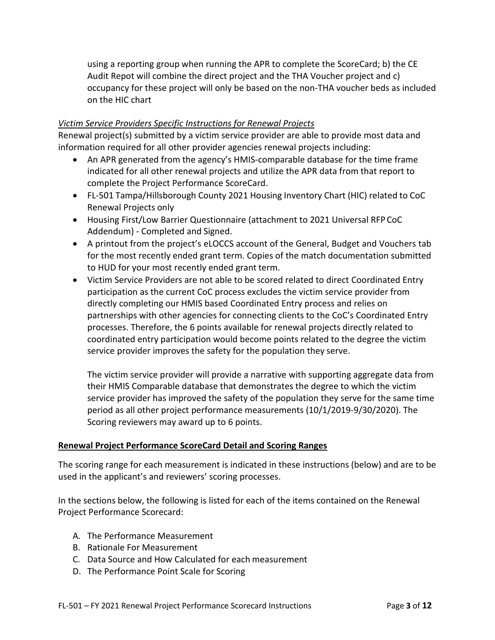using a reporting group when running the APR to complete the ScoreCard; b) the CE Audit Repot will combine the direct project and the THA Voucher project and c) occupancy for these project will only be based on the non‐THA voucher beds as included on the HIC chart

### *Victim Service Providers Specific Instructions for Renewal Projects*

Renewal project(s) submitted by a victim service provider are able to provide most data and information required for all other provider agencies renewal projects including:

- An APR generated from the agency's HMIS‐comparable database for the time frame indicated for all other renewal projects and utilize the APR data from that report to complete the Project Performance ScoreCard.
- FL‐501 Tampa/Hillsborough County 2021 Housing Inventory Chart (HIC) related to CoC Renewal Projects only
- Housing First/Low Barrier Questionnaire (attachment to 2021 Universal RFP CoC Addendum) ‐ Completed and Signed.
- A printout from the project's eLOCCS account of the General, Budget and Vouchers tab for the most recently ended grant term. Copies of the match documentation submitted to HUD for your most recently ended grant term.
- Victim Service Providers are not able to be scored related to direct Coordinated Entry participation as the current CoC process excludes the victim service provider from directly completing our HMIS based Coordinated Entry process and relies on partnerships with other agencies for connecting clients to the CoC's Coordinated Entry processes. Therefore, the 6 points available for renewal projects directly related to coordinated entry participation would become points related to the degree the victim service provider improves the safety for the population they serve.

The victim service provider will provide a narrative with supporting aggregate data from their HMIS Comparable database that demonstrates the degree to which the victim service provider has improved the safety of the population they serve for the same time period as all other project performance measurements (10/1/2019‐9/30/2020). The Scoring reviewers may award up to 6 points.

#### **Renewal Project Performance ScoreCard Detail and Scoring Ranges**

The scoring range for each measurement is indicated in these instructions (below) and are to be used in the applicant's and reviewers' scoring processes.

In the sections below, the following is listed for each of the items contained on the Renewal Project Performance Scorecard:

- A. The Performance Measurement
- B. Rationale For Measurement
- C. Data Source and How Calculated for each measurement
- D. The Performance Point Scale for Scoring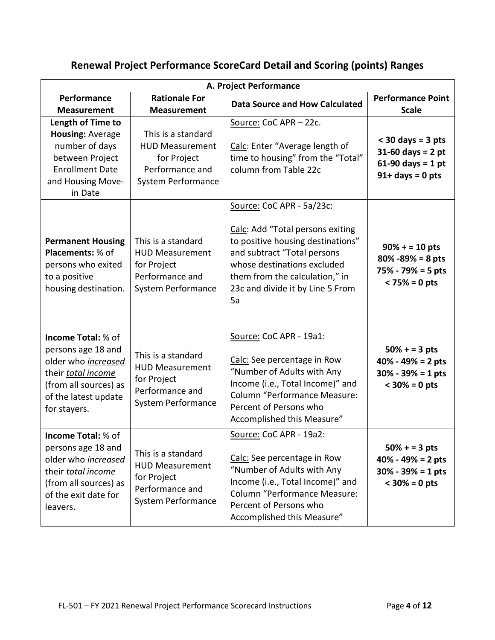| A. Project Performance                                                                                                                                    |                                                                                                      |                                                                                                                                                                                                                                              |                                                                                           |
|-----------------------------------------------------------------------------------------------------------------------------------------------------------|------------------------------------------------------------------------------------------------------|----------------------------------------------------------------------------------------------------------------------------------------------------------------------------------------------------------------------------------------------|-------------------------------------------------------------------------------------------|
| Performance<br><b>Measurement</b>                                                                                                                         | <b>Rationale For</b><br><b>Measurement</b>                                                           | <b>Data Source and How Calculated</b>                                                                                                                                                                                                        | <b>Performance Point</b><br><b>Scale</b>                                                  |
| Length of Time to<br>Housing: Average<br>number of days<br>between Project<br><b>Enrollment Date</b><br>and Housing Move-<br>in Date                      | This is a standard<br><b>HUD Measurement</b><br>for Project<br>Performance and<br>System Performance | Source: CoC APR - 22c.<br>Calc: Enter "Average length of<br>time to housing" from the "Total"<br>column from Table 22c                                                                                                                       | $<$ 30 days = 3 pts<br>$31 - 60$ days = 2 pt<br>$61-90$ days = 1 pt<br>$91+ days = 0 pts$ |
| <b>Permanent Housing</b><br>Placements: % of<br>persons who exited<br>to a positive<br>housing destination.                                               | This is a standard<br><b>HUD Measurement</b><br>for Project<br>Performance and<br>System Performance | Source: CoC APR - 5a/23c:<br>Calc: Add "Total persons exiting<br>to positive housing destinations"<br>and subtract "Total persons<br>whose destinations excluded<br>them from the calculation," in<br>23c and divide it by Line 5 From<br>5a | $90\% + 10$ pts<br>$80\% - 89\% = 8$ pts<br>75% - 79% = 5 pts<br>$< 75\% = 0$ pts         |
| Income Total: % of<br>persons age 18 and<br>older who increased<br>their total income<br>(from all sources) as<br>of the latest update<br>for stayers.    | This is a standard<br><b>HUD Measurement</b><br>for Project<br>Performance and<br>System Performance | Source: CoC APR - 19a1:<br>Calc: See percentage in Row<br>"Number of Adults with Any<br>Income (i.e., Total Income)" and<br><b>Column "Performance Measure:</b><br>Percent of Persons who<br>Accomplished this Measure"                      | $50% + 3pts$<br>$40\% - 49\% = 2$ pts<br>$30\% - 39\% = 1$ pts<br>$<$ 30% = 0 pts         |
| <b>Income Total:</b> % of<br>persons age 18 and<br>older who increased<br>their total income<br>(from all sources) as<br>of the exit date for<br>leavers. | This is a standard<br><b>HUD Measurement</b><br>for Project<br>Performance and<br>System Performance | Source: CoC APR - 19a2:<br>Calc: See percentage in Row<br>"Number of Adults with Any<br>Income (i.e., Total Income)" and<br><b>Column "Performance Measure:</b><br>Percent of Persons who<br>Accomplished this Measure"                      | $50% + 3$ pts<br>$40\% - 49\% = 2$ pts<br>$30\% - 39\% = 1$ pts<br>$<$ 30% = 0 pts        |

# **Renewal Project Performance ScoreCard Detail and Scoring (points) Ranges**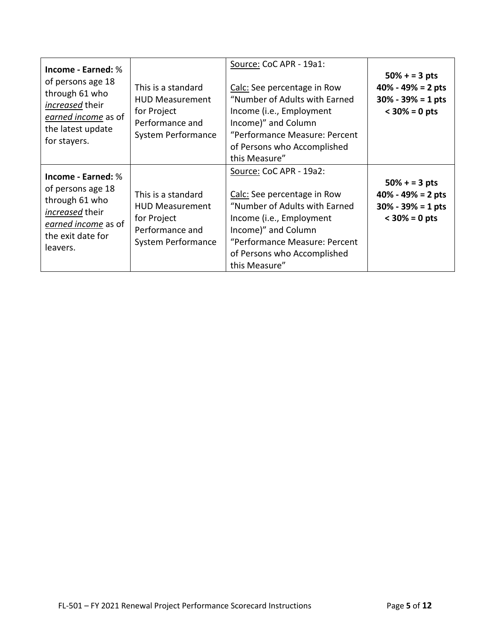| Income - Earned: %<br>of persons age 18<br>through 61 who<br><i>increased</i> their<br>earned income as of<br>the latest update<br>for stayers. | This is a standard<br><b>HUD Measurement</b><br>for Project<br>Performance and<br>System Performance | Source: CoC APR - 19a1:<br>Calc: See percentage in Row<br>"Number of Adults with Earned<br>Income (i.e., Employment<br>Income)" and Column<br>"Performance Measure: Percent<br>of Persons who Accomplished<br>this Measure" | $50% + 3$ pts<br>$40\% - 49\% = 2$ pts<br>$30\% - 39\% = 1$ pts<br>$<$ 30% = 0 pts |
|-------------------------------------------------------------------------------------------------------------------------------------------------|------------------------------------------------------------------------------------------------------|-----------------------------------------------------------------------------------------------------------------------------------------------------------------------------------------------------------------------------|------------------------------------------------------------------------------------|
| Income - Earned: %<br>of persons age 18<br>through 61 who<br>increased their<br>earned income as of<br>the exit date for<br>leavers.            | This is a standard<br><b>HUD Measurement</b><br>for Project<br>Performance and<br>System Performance | Source: CoC APR - 19a2:<br>Calc: See percentage in Row<br>"Number of Adults with Earned<br>Income (i.e., Employment<br>Income)" and Column<br>"Performance Measure: Percent<br>of Persons who Accomplished<br>this Measure" | $50% + 3$ pts<br>$40\% - 49\% = 2$ pts<br>$30\% - 39\% = 1$ pts<br>$<$ 30% = 0 pts |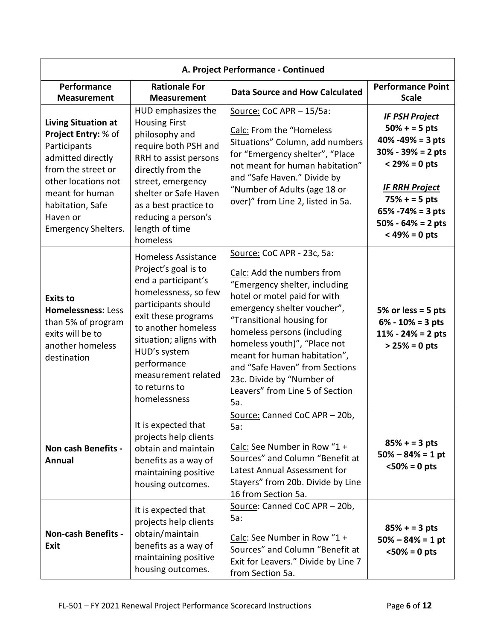| A. Project Performance - Continued                                                                                                                                                                                   |                                                                                                                                                                                                                                                                                         |                                                                                                                                                                                                                                                                                                                                                                                               |                                                                                                                                                                                                                                      |
|----------------------------------------------------------------------------------------------------------------------------------------------------------------------------------------------------------------------|-----------------------------------------------------------------------------------------------------------------------------------------------------------------------------------------------------------------------------------------------------------------------------------------|-----------------------------------------------------------------------------------------------------------------------------------------------------------------------------------------------------------------------------------------------------------------------------------------------------------------------------------------------------------------------------------------------|--------------------------------------------------------------------------------------------------------------------------------------------------------------------------------------------------------------------------------------|
| Performance<br><b>Measurement</b>                                                                                                                                                                                    | <b>Rationale For</b><br><b>Measurement</b>                                                                                                                                                                                                                                              | <b>Data Source and How Calculated</b>                                                                                                                                                                                                                                                                                                                                                         | <b>Performance Point</b><br><b>Scale</b>                                                                                                                                                                                             |
| <b>Living Situation at</b><br>Project Entry: % of<br>Participants<br>admitted directly<br>from the street or<br>other locations not<br>meant for human<br>habitation, Safe<br>Haven or<br><b>Emergency Shelters.</b> | HUD emphasizes the<br><b>Housing First</b><br>philosophy and<br>require both PSH and<br>RRH to assist persons<br>directly from the<br>street, emergency<br>shelter or Safe Haven<br>as a best practice to<br>reducing a person's<br>length of time<br>homeless                          | Source: CoC APR - 15/5a:<br>Calc: From the "Homeless<br>Situations" Column, add numbers<br>for "Emergency shelter", "Place<br>not meant for human habitation"<br>and "Safe Haven." Divide by<br>"Number of Adults (age 18 or<br>over)" from Line 2, listed in 5a.                                                                                                                             | <b>IF PSH Project</b><br>$50% + 5$ pts<br>$40\% - 49\% = 3 \text{ pts}$<br>$30\% - 39\% = 2$ pts<br>$< 29\% = 0$ pts<br><b>IF RRH Project</b><br>$75% + 5$ pts<br>$65\% - 74\% = 3$ pts<br>$50\% - 64\% = 2$ pts<br>$< 49\% = 0$ pts |
| <b>Exits to</b><br><b>Homelessness: Less</b><br>than 5% of program<br>exits will be to<br>another homeless<br>destination                                                                                            | <b>Homeless Assistance</b><br>Project's goal is to<br>end a participant's<br>homelessness, so few<br>participants should<br>exit these programs<br>to another homeless<br>situation; aligns with<br>HUD's system<br>performance<br>measurement related<br>to returns to<br>homelessness | Source: CoC APR - 23c, 5a:<br>Calc: Add the numbers from<br>"Emergency shelter, including<br>hotel or motel paid for with<br>emergency shelter voucher",<br>"Transitional housing for<br>homeless persons (including<br>homeless youth)", "Place not<br>meant for human habitation",<br>and "Safe Haven" from Sections<br>23c. Divide by "Number of<br>Leavers" from Line 5 of Section<br>5a. | 5% or less = $5$ pts<br>$6\% - 10\% = 3$ pts<br>$11\% - 24\% = 2$ pts<br>$> 25\% = 0$ pts                                                                                                                                            |
| Non cash Benefits -<br><b>Annual</b>                                                                                                                                                                                 | It is expected that<br>projects help clients<br>obtain and maintain<br>benefits as a way of<br>maintaining positive<br>housing outcomes.                                                                                                                                                | Source: Canned CoC APR - 20b,<br>5a:<br>Calc: See Number in Row "1 +<br>Sources" and Column "Benefit at<br>Latest Annual Assessment for<br>Stayers" from 20b. Divide by Line<br>16 from Section 5a.                                                                                                                                                                                           | $85% + 3$ pts<br>$50\% - 84\% = 1$ pt<br>$<$ 50% = 0 pts                                                                                                                                                                             |
| <b>Non-cash Benefits -</b><br>Exit                                                                                                                                                                                   | It is expected that<br>projects help clients<br>obtain/maintain<br>benefits as a way of<br>maintaining positive<br>housing outcomes.                                                                                                                                                    | Source: Canned CoC APR - 20b,<br>$5a$ :<br>Calc: See Number in Row "1 +<br>Sources" and Column "Benefit at<br>Exit for Leavers." Divide by Line 7<br>from Section 5a.                                                                                                                                                                                                                         | $85% + 3$ pts<br>$50\% - 84\% = 1$ pt<br>$<$ 50% = 0 pts                                                                                                                                                                             |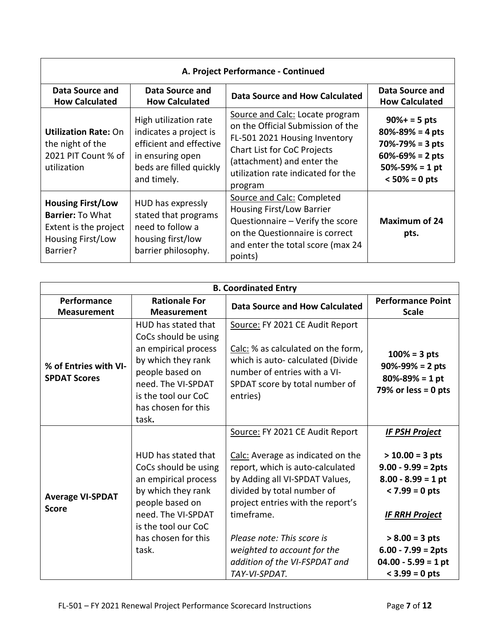| A. Project Performance - Continued                                                                            |                                                                                                                                          |                                                                                                                                                                                                                            |                                                                                                                                                      |
|---------------------------------------------------------------------------------------------------------------|------------------------------------------------------------------------------------------------------------------------------------------|----------------------------------------------------------------------------------------------------------------------------------------------------------------------------------------------------------------------------|------------------------------------------------------------------------------------------------------------------------------------------------------|
| Data Source and<br><b>How Calculated</b>                                                                      | <b>Data Source and</b><br><b>How Calculated</b>                                                                                          | Data Source and How Calculated                                                                                                                                                                                             | Data Source and<br><b>How Calculated</b>                                                                                                             |
| <b>Utilization Rate: On</b><br>the night of the<br>2021 PIT Count % of<br>utilization                         | High utilization rate<br>indicates a project is<br>efficient and effective<br>in ensuring open<br>beds are filled quickly<br>and timely. | Source and Calc: Locate program<br>on the Official Submission of the<br>FL-501 2021 Housing Inventory<br><b>Chart List for CoC Projects</b><br>(attachment) and enter the<br>utilization rate indicated for the<br>program | $90% + 5$ pts<br>$80\% - 89\% = 4$ pts<br>$70\% - 79\% = 3 \text{ pts}$<br>$60\% - 69\% = 2 \text{ pts}$<br>$50\% - 59\% = 1$ pt<br>$< 50\% = 0$ pts |
| <b>Housing First/Low</b><br><b>Barrier: To What</b><br>Extent is the project<br>Housing First/Low<br>Barrier? | HUD has expressly<br>stated that programs<br>need to follow a<br>housing first/low<br>barrier philosophy.                                | Source and Calc: Completed<br><b>Housing First/Low Barrier</b><br>Questionnaire - Verify the score<br>on the Questionnaire is correct<br>and enter the total score (max 24<br>points)                                      | <b>Maximum of 24</b><br>pts.                                                                                                                         |

| <b>B. Coordinated Entry</b>                  |                                                                                                                                                                                           |                                                                                                                                                                                                                                                                                                                                            |                                                                                                                                                                                                                                  |
|----------------------------------------------|-------------------------------------------------------------------------------------------------------------------------------------------------------------------------------------------|--------------------------------------------------------------------------------------------------------------------------------------------------------------------------------------------------------------------------------------------------------------------------------------------------------------------------------------------|----------------------------------------------------------------------------------------------------------------------------------------------------------------------------------------------------------------------------------|
| Performance<br><b>Measurement</b>            | <b>Rationale For</b><br><b>Measurement</b>                                                                                                                                                | <b>Data Source and How Calculated</b>                                                                                                                                                                                                                                                                                                      | <b>Performance Point</b><br><b>Scale</b>                                                                                                                                                                                         |
| % of Entries with VI-<br><b>SPDAT Scores</b> | HUD has stated that<br>CoCs should be using<br>an empirical process<br>by which they rank<br>people based on<br>need. The VI-SPDAT<br>is the tool our CoC<br>has chosen for this<br>task. | Source: FY 2021 CE Audit Report<br>Calc: % as calculated on the form,<br>which is auto-calculated (Divide<br>number of entries with a VI-<br>SPDAT score by total number of<br>entries)                                                                                                                                                    | $100% = 3pts$<br>$90\% - 99\% = 2 \text{ pts}$<br>$80\% - 89\% = 1$ pt<br>79% or less = $0$ pts                                                                                                                                  |
| <b>Average VI-SPDAT</b><br><b>Score</b>      | HUD has stated that<br>CoCs should be using<br>an empirical process<br>by which they rank<br>people based on<br>need. The VI-SPDAT<br>is the tool our CoC<br>has chosen for this<br>task. | Source: FY 2021 CE Audit Report<br>Calc: Average as indicated on the<br>report, which is auto-calculated<br>by Adding all VI-SPDAT Values,<br>divided by total number of<br>project entries with the report's<br>timeframe.<br>Please note: This score is<br>weighted to account for the<br>addition of the VI-FSPDAT and<br>TAY-VI-SPDAT. | <b>IF PSH Project</b><br>$> 10.00 = 3$ pts<br>$9.00 - 9.99 = 2pts$<br>$8.00 - 8.99 = 1$ pt<br>$< 7.99 = 0$ pts<br><b>IF RRH Project</b><br>$> 8.00 = 3$ pts<br>$6.00 - 7.99 = 2pts$<br>$04.00 - 5.99 = 1 pt$<br>$<$ 3.99 = 0 pts |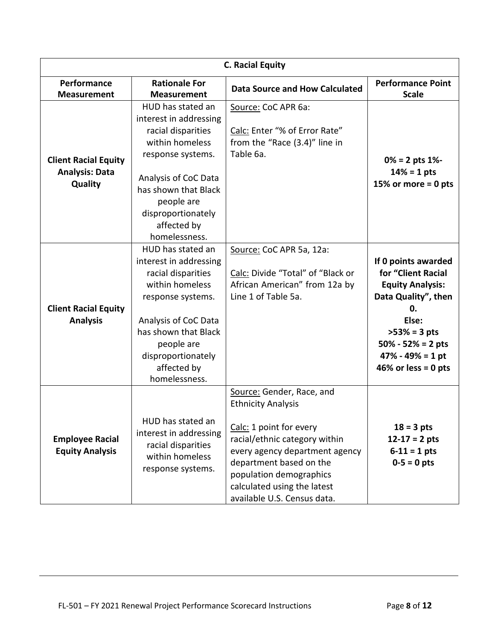| <b>C. Racial Equity</b>                                         |                                                                                                                                                                                                                               |                                                                                                                                                                                                                                                                          |                                                                                                                                                                                                                           |
|-----------------------------------------------------------------|-------------------------------------------------------------------------------------------------------------------------------------------------------------------------------------------------------------------------------|--------------------------------------------------------------------------------------------------------------------------------------------------------------------------------------------------------------------------------------------------------------------------|---------------------------------------------------------------------------------------------------------------------------------------------------------------------------------------------------------------------------|
| Performance<br><b>Measurement</b>                               | <b>Rationale For</b><br><b>Measurement</b>                                                                                                                                                                                    | Data Source and How Calculated                                                                                                                                                                                                                                           | <b>Performance Point</b><br><b>Scale</b>                                                                                                                                                                                  |
| <b>Client Racial Equity</b><br><b>Analysis: Data</b><br>Quality | HUD has stated an<br>interest in addressing<br>racial disparities<br>within homeless<br>response systems.<br>Analysis of CoC Data<br>has shown that Black<br>people are<br>disproportionately<br>affected by<br>homelessness. | Source: CoC APR 6a:<br>Calc: Enter "% of Error Rate"<br>from the "Race (3.4)" line in<br>Table 6a.                                                                                                                                                                       | $0\% = 2$ pts 1%-<br>$14% = 1$ pts<br>15% or more = $0$ pts                                                                                                                                                               |
| <b>Client Racial Equity</b><br><b>Analysis</b>                  | HUD has stated an<br>interest in addressing<br>racial disparities<br>within homeless<br>response systems.<br>Analysis of CoC Data<br>has shown that Black<br>people are<br>disproportionately<br>affected by<br>homelessness. | Source: CoC APR 5a, 12a:<br>Calc: Divide "Total" of "Black or<br>African American" from 12a by<br>Line 1 of Table 5a.                                                                                                                                                    | If 0 points awarded<br>for "Client Racial<br><b>Equity Analysis:</b><br>Data Quality", then<br>$\mathbf{0}$<br>Else:<br>$>53\% = 3 \text{ pts}$<br>$50\% - 52\% = 2$ pts<br>$47\% - 49\% = 1$ pt<br>46% or less = $0$ pts |
| <b>Employee Racial</b><br><b>Equity Analysis</b>                | HUD has stated an<br>interest in addressing<br>racial disparities<br>within homeless<br>response systems.                                                                                                                     | Source: Gender, Race, and<br><b>Ethnicity Analysis</b><br>Calc: 1 point for every<br>racial/ethnic category within<br>every agency department agency<br>department based on the<br>population demographics<br>calculated using the latest<br>available U.S. Census data. | $18 = 3$ pts<br>$12 - 17 = 2$ pts<br>$6 - 11 = 1$ pts<br>$0 - 5 = 0$ pts                                                                                                                                                  |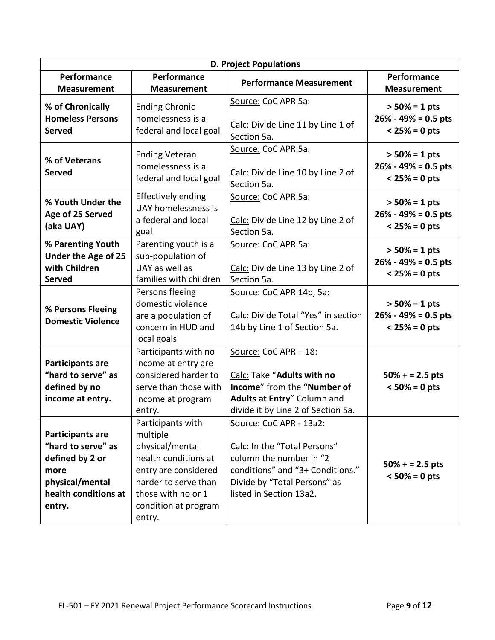|                                             | <b>D. Project Populations</b>                                        |                                                          |                                                                 |  |
|---------------------------------------------|----------------------------------------------------------------------|----------------------------------------------------------|-----------------------------------------------------------------|--|
| Performance                                 | Performance                                                          | <b>Performance Measurement</b>                           | Performance                                                     |  |
| <b>Measurement</b>                          | <b>Measurement</b>                                                   |                                                          | <b>Measurement</b>                                              |  |
| % of Chronically<br><b>Homeless Persons</b> | <b>Ending Chronic</b><br>homelessness is a                           | Source: CoC APR 5a:                                      | $> 50\% = 1$ pts<br>$26\% - 49\% = 0.5$ pts                     |  |
| Served                                      | federal and local goal                                               | Calc: Divide Line 11 by Line 1 of<br>Section 5a.         | $< 25\% = 0$ pts                                                |  |
| % of Veterans<br><b>Served</b>              | <b>Ending Veteran</b><br>homelessness is a<br>federal and local goal | Source: CoC APR 5a:<br>Calc: Divide Line 10 by Line 2 of | $> 50\% = 1$ pts<br>$26\% - 49\% = 0.5$ pts<br>$< 25\% = 0$ pts |  |
|                                             |                                                                      | Section 5a.                                              |                                                                 |  |
| % Youth Under the<br>Age of 25 Served       | <b>Effectively ending</b><br>UAY homelessness is                     | Source: CoC APR 5a:                                      | $> 50\% = 1$ pts<br>$26\% - 49\% = 0.5$ pts                     |  |
| (aka UAY)                                   | a federal and local<br>goal                                          | Calc: Divide Line 12 by Line 2 of<br>Section 5a.         | $< 25\% = 0$ pts                                                |  |
| % Parenting Youth                           | Parenting youth is a                                                 | Source: CoC APR 5a:                                      | $> 50\% = 1$ pts                                                |  |
| <b>Under the Age of 25</b>                  | sub-population of                                                    |                                                          | $26\% - 49\% = 0.5$ pts                                         |  |
| with Children                               | UAY as well as                                                       | Calc: Divide Line 13 by Line 2 of                        | $< 25\% = 0$ pts                                                |  |
| <b>Served</b>                               | families with children                                               | Section 5a.                                              |                                                                 |  |
|                                             | Persons fleeing                                                      | Source: CoC APR 14b, 5a:                                 |                                                                 |  |
| % Persons Fleeing                           | domestic violence                                                    |                                                          | $> 50\% = 1$ pts                                                |  |
| <b>Domestic Violence</b>                    | are a population of                                                  | Calc: Divide Total "Yes" in section                      | $26\% - 49\% = 0.5$ pts                                         |  |
|                                             | concern in HUD and<br>local goals                                    | 14b by Line 1 of Section 5a.                             | $< 25\% = 0$ pts                                                |  |
|                                             | Participants with no                                                 | Source: CoC APR - 18:                                    |                                                                 |  |
| <b>Participants are</b>                     | income at entry are                                                  |                                                          |                                                                 |  |
| "hard to serve" as                          | considered harder to                                                 | Calc: Take "Adults with no                               | $50\% + 2.5$ pts                                                |  |
| defined by no                               | serve than those with                                                | Income" from the "Number of                              | $< 50\% = 0$ pts                                                |  |
| income at entry.                            | income at program                                                    | Adults at Entry" Column and                              |                                                                 |  |
|                                             | entry.                                                               | divide it by Line 2 of Section 5a.                       |                                                                 |  |
|                                             | Participants with                                                    | Source: CoC APR - 13a2:                                  |                                                                 |  |
| <b>Participants are</b>                     | multiple                                                             |                                                          |                                                                 |  |
| "hard to serve" as                          | physical/mental                                                      | Calc: In the "Total Persons"                             |                                                                 |  |
| defined by 2 or                             | health conditions at                                                 | column the number in "2                                  |                                                                 |  |
| more                                        | entry are considered                                                 | conditions" and "3+ Conditions."                         | $50\% + 2.5$ pts                                                |  |
| physical/mental                             | harder to serve than                                                 | Divide by "Total Persons" as                             | $< 50\% = 0$ pts                                                |  |
| health conditions at                        | those with no or 1                                                   | listed in Section 13a2.                                  |                                                                 |  |
| entry.                                      | condition at program                                                 |                                                          |                                                                 |  |
|                                             | entry.                                                               |                                                          |                                                                 |  |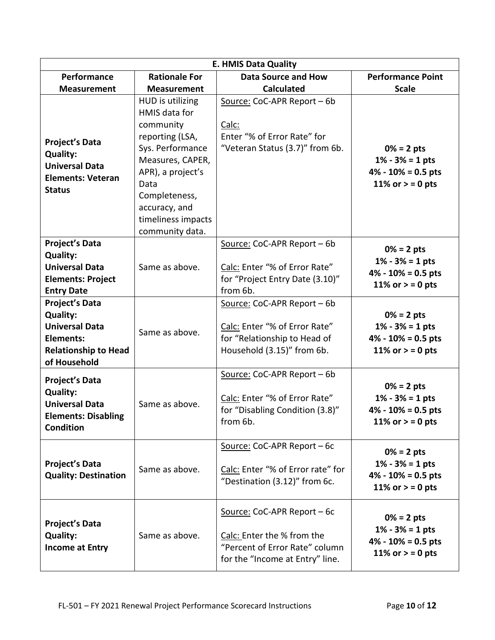| <b>E. HMIS Data Quality</b>                                                                                                   |                                                                                                                                                                                                                   |                                                                                                                                |                                                                                                |
|-------------------------------------------------------------------------------------------------------------------------------|-------------------------------------------------------------------------------------------------------------------------------------------------------------------------------------------------------------------|--------------------------------------------------------------------------------------------------------------------------------|------------------------------------------------------------------------------------------------|
| Performance                                                                                                                   | <b>Rationale For</b>                                                                                                                                                                                              | <b>Data Source and How</b>                                                                                                     | <b>Performance Point</b>                                                                       |
| <b>Measurement</b>                                                                                                            | <b>Measurement</b>                                                                                                                                                                                                | <b>Calculated</b>                                                                                                              | <b>Scale</b>                                                                                   |
| <b>Project's Data</b><br><b>Quality:</b><br><b>Universal Data</b><br><b>Elements: Veteran</b><br><b>Status</b>                | HUD is utilizing<br>HMIS data for<br>community<br>reporting (LSA,<br>Sys. Performance<br>Measures, CAPER,<br>APR), a project's<br>Data<br>Completeness,<br>accuracy, and<br>timeliness impacts<br>community data. | Source: CoC-APR Report - 6b<br>Calc:<br>Enter "% of Error Rate" for<br>"Veteran Status (3.7)" from 6b.                         | $0\% = 2 \, \text{pts}$<br>$1\% - 3\% = 1$ pts<br>$4\% - 10\% = 0.5$ pts<br>11% or $>$ = 0 pts |
| <b>Project's Data</b><br><b>Quality:</b><br><b>Universal Data</b><br><b>Elements: Project</b><br><b>Entry Date</b>            | Same as above.                                                                                                                                                                                                    | Source: CoC-APR Report - 6b<br>Calc: Enter "% of Error Rate"<br>for "Project Entry Date (3.10)"<br>from 6b.                    | $0\% = 2 \, \text{pts}$<br>$1\% - 3\% = 1$ pts<br>$4\% - 10\% = 0.5$ pts<br>11% or $>$ = 0 pts |
| <b>Project's Data</b><br><b>Quality:</b><br><b>Universal Data</b><br>Elements:<br><b>Relationship to Head</b><br>of Household | Same as above.                                                                                                                                                                                                    | Source: CoC-APR Report - 6b<br>Calc: Enter "% of Error Rate"<br>for "Relationship to Head of<br>Household (3.15)" from 6b.     | $0% = 2pts$<br>$1\% - 3\% = 1$ pts<br>$4\% - 10\% = 0.5$ pts<br>11% or $>$ = 0 pts             |
| <b>Project's Data</b><br><b>Quality:</b><br><b>Universal Data</b><br><b>Elements: Disabling</b><br><b>Condition</b>           | Same as above.                                                                                                                                                                                                    | Source: CoC-APR Report - 6b<br>Calc: Enter "% of Error Rate"<br>for "Disabling Condition (3.8)"<br>trom 6b.                    | $0% = 2pts$<br>$1\% - 3\% = 1$ pts<br>$4\% - 10\% = 0.5$ pts<br>11% or $>$ = 0 pts             |
| <b>Project's Data</b><br><b>Quality: Destination</b>                                                                          | Same as above.                                                                                                                                                                                                    | Source: CoC-APR Report - 6c<br>Calc: Enter "% of Error rate" for<br>"Destination (3.12)" from 6c.                              | $0% = 2pts$<br>$1\% - 3\% = 1$ pts<br>$4\% - 10\% = 0.5$ pts<br>11% or $>$ = 0 pts             |
| <b>Project's Data</b><br><b>Quality:</b><br><b>Income at Entry</b>                                                            | Same as above.                                                                                                                                                                                                    | Source: CoC-APR Report - 6c<br>Calc: Enter the % from the<br>"Percent of Error Rate" column<br>for the "Income at Entry" line. | $0% = 2pts$<br>$1\% - 3\% = 1$ pts<br>$4\% - 10\% = 0.5$ pts<br>11% or $>$ = 0 pts             |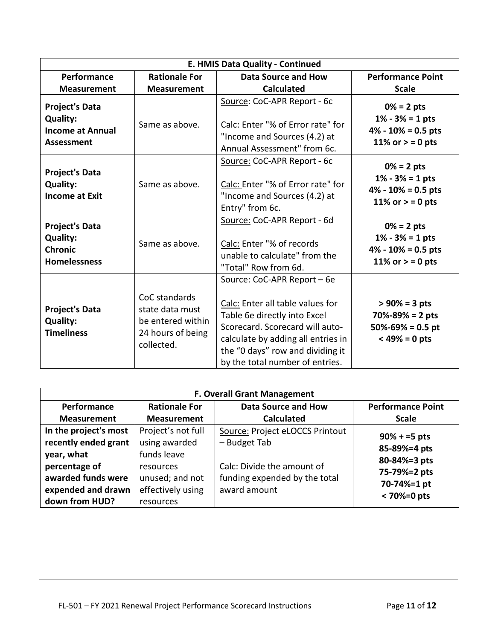| E. HMIS Data Quality - Continued                                                  |                                                                                          |                                                                                                                                                                                                                                                 |                                                                                                         |
|-----------------------------------------------------------------------------------|------------------------------------------------------------------------------------------|-------------------------------------------------------------------------------------------------------------------------------------------------------------------------------------------------------------------------------------------------|---------------------------------------------------------------------------------------------------------|
| Performance                                                                       | <b>Rationale For</b>                                                                     | <b>Data Source and How</b>                                                                                                                                                                                                                      | <b>Performance Point</b>                                                                                |
| <b>Measurement</b>                                                                | <b>Measurement</b>                                                                       | <b>Calculated</b>                                                                                                                                                                                                                               | <b>Scale</b>                                                                                            |
| <b>Project's Data</b><br><b>Quality:</b><br><b>Income at Annual</b><br>Assessment | Same as above.                                                                           | Source: CoC-APR Report - 6c<br>Calc: Enter "% of Error rate" for<br>"Income and Sources (4.2) at<br>Annual Assessment" from 6c.                                                                                                                 | $0% = 2$ pts<br>$1\% - 3\% = 1$ pts<br>$4\% - 10\% = 0.5$ pts<br>11% or $>$ = 0 pts                     |
| <b>Project's Data</b><br><b>Quality:</b><br><b>Income at Exit</b>                 | Same as above.                                                                           | Source: CoC-APR Report - 6c<br>Calc: Enter "% of Error rate" for<br>"Income and Sources (4.2) at<br>Entry" from 6c.                                                                                                                             | $0\% = 2 \, \text{pts}$<br>$1\% - 3\% = 1$ pts<br>$4\% - 10\% = 0.5$ pts<br>11% or $>$ = 0 pts          |
| <b>Project's Data</b><br><b>Quality:</b><br><b>Chronic</b><br><b>Homelessness</b> | Same as above.                                                                           | Source: CoC-APR Report - 6d<br>Calc: Enter "% of records<br>unable to calculate" from the<br>"Total" Row from 6d.                                                                                                                               | $0\% = 2 \, \text{pts}$<br>$1\% - 3\% = 1$ pts<br>$4\% - 10\% = 0.5$ pts<br>11% or $>$ = 0 pts          |
| <b>Project's Data</b><br><b>Quality:</b><br><b>Timeliness</b>                     | CoC standards<br>state data must<br>be entered within<br>24 hours of being<br>collected. | Source: CoC-APR Report - 6e<br>Calc: Enter all table values for<br>Table 6e directly into Excel<br>Scorecard. Scorecard will auto-<br>calculate by adding all entries in<br>the "0 days" row and dividing it<br>by the total number of entries. | $> 90\% = 3 \text{ pts}$<br>$70\% - 89\% = 2 \text{ pts}$<br>$50\% - 69\% = 0.5$ pt<br>$< 49\% = 0$ pts |

| <b>F. Overall Grant Management</b>                                                                                                         |                                                                                                                      |                                                                                                                                |                                                                                             |  |
|--------------------------------------------------------------------------------------------------------------------------------------------|----------------------------------------------------------------------------------------------------------------------|--------------------------------------------------------------------------------------------------------------------------------|---------------------------------------------------------------------------------------------|--|
| Performance                                                                                                                                | <b>Rationale For</b>                                                                                                 | <b>Data Source and How</b>                                                                                                     | <b>Performance Point</b>                                                                    |  |
| <b>Measurement</b>                                                                                                                         | <b>Measurement</b>                                                                                                   | <b>Calculated</b>                                                                                                              | <b>Scale</b>                                                                                |  |
| In the project's most<br>recently ended grant<br>year, what<br>percentage of<br>awarded funds were<br>expended and drawn<br>down from HUD? | Project's not full<br>using awarded<br>funds leave<br>resources<br>unused; and not<br>effectively using<br>resources | Source: Project eLOCCS Printout<br>- Budget Tab<br>Calc: Divide the amount of<br>funding expended by the total<br>award amount | $90% + 5$ pts<br>85-89%=4 pts<br>80-84%=3 pts<br>75-79%=2 pts<br>70-74%=1 pt<br>< 70%=0 pts |  |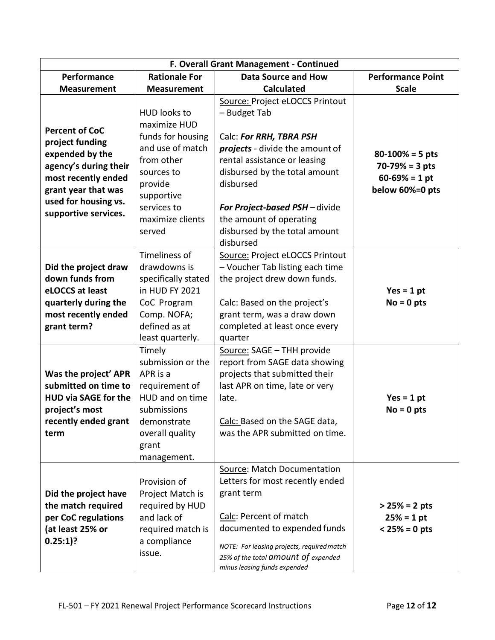| F. Overall Grant Management - Continued                                                                                                                                            |                                                                                                                                                                                |                                                                                                                                                                                                                                                                                                      |                                                                                      |
|------------------------------------------------------------------------------------------------------------------------------------------------------------------------------------|--------------------------------------------------------------------------------------------------------------------------------------------------------------------------------|------------------------------------------------------------------------------------------------------------------------------------------------------------------------------------------------------------------------------------------------------------------------------------------------------|--------------------------------------------------------------------------------------|
| Performance                                                                                                                                                                        | <b>Rationale For</b>                                                                                                                                                           | <b>Data Source and How</b>                                                                                                                                                                                                                                                                           | <b>Performance Point</b>                                                             |
| <b>Measurement</b>                                                                                                                                                                 | <b>Measurement</b>                                                                                                                                                             | <b>Calculated</b>                                                                                                                                                                                                                                                                                    | <b>Scale</b>                                                                         |
| <b>Percent of CoC</b><br>project funding<br>expended by the<br>agency's during their<br>most recently ended<br>grant year that was<br>used for housing vs.<br>supportive services. | <b>HUD looks to</b><br>maximize HUD<br>funds for housing<br>and use of match<br>from other<br>sources to<br>provide<br>supportive<br>services to<br>maximize clients<br>served | Source: Project eLOCCS Printout<br>- Budget Tab<br>Calc: For RRH, TBRA PSH<br>projects - divide the amount of<br>rental assistance or leasing<br>disbursed by the total amount<br>disbursed<br>For Project-based PSH-divide<br>the amount of operating<br>disbursed by the total amount<br>disbursed | $80 - 100\% = 5$ pts<br>$70 - 79\% = 3$ pts<br>$60 - 69\% = 1$ pt<br>below 60%=0 pts |
| Did the project draw<br>down funds from<br>eLOCCS at least<br>quarterly during the<br>most recently ended<br>grant term?                                                           | Timeliness of<br>drawdowns is<br>specifically stated<br>in HUD FY 2021<br>CoC Program<br>Comp. NOFA;<br>defined as at<br>least quarterly.                                      | Source: Project eLOCCS Printout<br>- Voucher Tab listing each time<br>the project drew down funds.<br>Calc: Based on the project's<br>grant term, was a draw down<br>completed at least once every<br>quarter                                                                                        | $Yes = 1 pt$<br>$No = 0$ pts                                                         |
| Was the project' APR<br>submitted on time to<br><b>HUD via SAGE for the</b><br>project's most<br>recently ended grant<br>term                                                      | Timely<br>submission or the<br>APR is a<br>requirement of<br>HUD and on time<br>submissions<br>demonstrate<br>overall quality<br>grant<br>management.                          | Source: SAGE - THH provide<br>report from SAGE data showing<br>projects that submitted their<br>last APR on time, late or very<br>late.<br>Calc: Based on the SAGE data,<br>was the APR submitted on time.                                                                                           | $Yes = 1 pt$<br>$No = 0$ pts                                                         |
| Did the project have<br>the match required<br>per CoC regulations<br>(at least 25% or<br>$0.25:1$ ?                                                                                | Provision of<br>Project Match is<br>required by HUD<br>and lack of<br>required match is<br>a compliance<br>issue.                                                              | Source: Match Documentation<br>Letters for most recently ended<br>grant term<br>Calc: Percent of match<br>documented to expended funds<br>NOTE: For leasing projects, required match<br>25% of the total <b>amount</b> of expended<br>minus leasing funds expended                                   | $> 25\% = 2 \; \text{pts}$<br>$25% = 1$ pt<br>$< 25\% = 0$ pts                       |